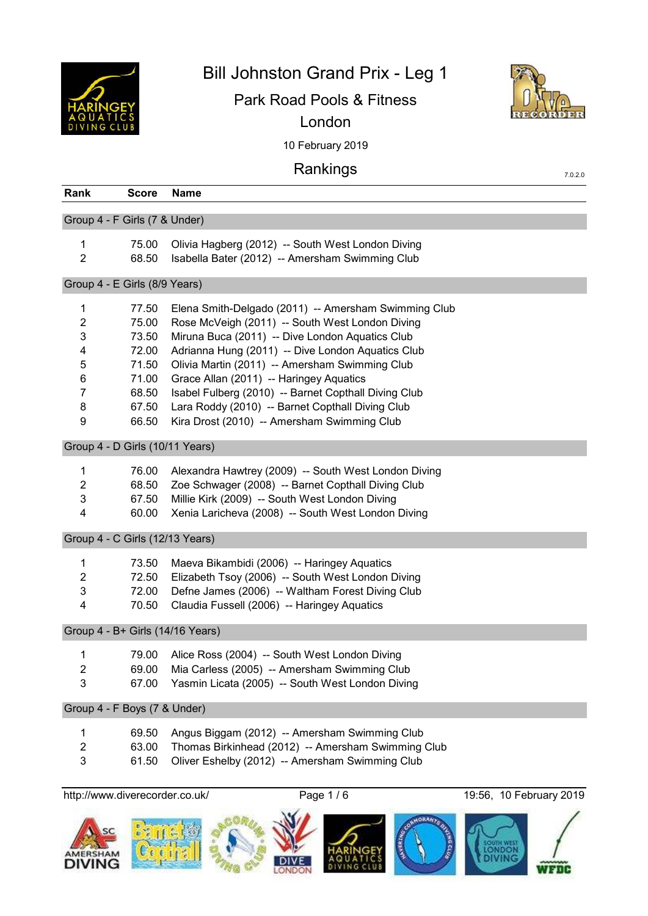

Bill Johnston Grand Prix - Leg 1

Park Road Pools & Fitness London



7.0.2.0

10 February 2019

# Rankings

| Rank                             | <b>Score</b> | <b>Name</b>                                          |
|----------------------------------|--------------|------------------------------------------------------|
| Group 4 - F Girls (7 & Under)    |              |                                                      |
| 1                                | 75.00        | Olivia Hagberg (2012) -- South West London Diving    |
| $\overline{2}$                   | 68.50        | Isabella Bater (2012) -- Amersham Swimming Club      |
| Group 4 - E Girls (8/9 Years)    |              |                                                      |
| 1                                | 77.50        | Elena Smith-Delgado (2011) -- Amersham Swimming Club |
| 2                                | 75.00        | Rose McVeigh (2011) -- South West London Diving      |
| 3                                | 73.50        | Miruna Buca (2011) -- Dive London Aquatics Club      |
| 4                                | 72.00        | Adrianna Hung (2011) -- Dive London Aquatics Club    |
| 5                                | 71.50        | Olivia Martin (2011) -- Amersham Swimming Club       |
| 6                                | 71.00        | Grace Allan (2011) -- Haringey Aquatics              |
| 7                                | 68.50        | Isabel Fulberg (2010) -- Barnet Copthall Diving Club |
| 8                                | 67.50        | Lara Roddy (2010) -- Barnet Copthall Diving Club     |
| 9                                | 66.50        | Kira Drost (2010) -- Amersham Swimming Club          |
| Group 4 - D Girls (10/11 Years)  |              |                                                      |
| 1                                | 76.00        | Alexandra Hawtrey (2009) -- South West London Diving |
| 2                                | 68.50        | Zoe Schwager (2008) -- Barnet Copthall Diving Club   |
| 3                                | 67.50        | Millie Kirk (2009) -- South West London Diving       |
| 4                                | 60.00        | Xenia Laricheva (2008) -- South West London Diving   |
| Group 4 - C Girls (12/13 Years)  |              |                                                      |
| 1                                | 73.50        | Maeva Bikambidi (2006) -- Haringey Aquatics          |
| $\overline{2}$                   | 72.50        | Elizabeth Tsoy (2006) -- South West London Diving    |
| 3                                | 72.00        | Defne James (2006) -- Waltham Forest Diving Club     |
| 4                                | 70.50        | Claudia Fussell (2006) -- Haringey Aquatics          |
|                                  |              |                                                      |
| Group 4 - B+ Girls (14/16 Years) |              |                                                      |
| 1                                | 79.00        | Alice Ross (2004) -- South West London Diving        |
| 2                                | 69.00        | Mia Carless (2005) -- Amersham Swimming Club         |
| 3                                | 67.00        | Yasmin Licata (2005) -- South West London Diving     |
| Group 4 - F Boys (7 & Under)     |              |                                                      |
| 1                                | 69.50        | Angus Biggam (2012) -- Amersham Swimming Club        |
| 2                                | 63.00        | Thomas Birkinhead (2012) -- Amersham Swimming Club   |
| 3                                | 61.50        | Oliver Eshelby (2012) -- Amersham Swimming Club      |
|                                  |              |                                                      |

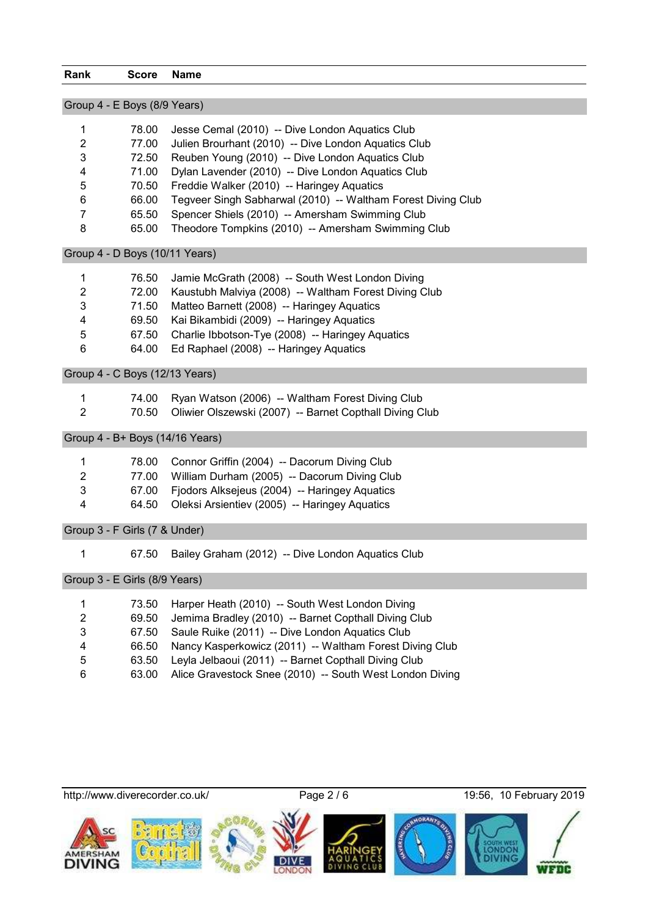| <b>Rank</b>     | <b>Score</b>                    | <b>Name</b>                                                  |
|-----------------|---------------------------------|--------------------------------------------------------------|
|                 | Group 4 - E Boys (8/9 Years)    |                                                              |
| 1               | 78.00                           | Jesse Cemal (2010) -- Dive London Aquatics Club              |
| $\overline{2}$  | 77.00                           | Julien Brourhant (2010) -- Dive London Aquatics Club         |
| 3               | 72.50                           | Reuben Young (2010) -- Dive London Aquatics Club             |
| 4               | 71.00                           | Dylan Lavender (2010) -- Dive London Aquatics Club           |
| 5               | 70.50                           | Freddie Walker (2010) -- Haringey Aquatics                   |
| 6               | 66.00                           | Tegveer Singh Sabharwal (2010) -- Waltham Forest Diving Club |
| $\overline{7}$  | 65.50                           | Spencer Shiels (2010) -- Amersham Swimming Club              |
| 8               | 65.00                           | Theodore Tompkins (2010) -- Amersham Swimming Club           |
|                 | Group 4 - D Boys (10/11 Years)  |                                                              |
| 1               | 76.50                           | Jamie McGrath (2008) -- South West London Diving             |
| $\overline{2}$  | 72.00                           | Kaustubh Malviya (2008) -- Waltham Forest Diving Club        |
| $\mathbf{3}$    | 71.50                           | Matteo Barnett (2008) -- Haringey Aquatics                   |
| 4               | 69.50                           | Kai Bikambidi (2009) -- Haringey Aquatics                    |
| $\mathbf 5$     | 67.50                           | Charlie Ibbotson-Tye (2008) -- Haringey Aquatics             |
| $6\phantom{1}6$ | 64.00                           | Ed Raphael (2008) -- Haringey Aquatics                       |
|                 | Group 4 - C Boys (12/13 Years)  |                                                              |
| 1               | 74.00                           | Ryan Watson (2006) -- Waltham Forest Diving Club             |
| $\overline{2}$  | 70.50                           | Oliwier Olszewski (2007) -- Barnet Copthall Diving Club      |
|                 | Group 4 - B+ Boys (14/16 Years) |                                                              |
| 1               | 78.00                           | Connor Griffin (2004) -- Dacorum Diving Club                 |
| $\overline{2}$  | 77.00                           | William Durham (2005) -- Dacorum Diving Club                 |
| 3               | 67.00                           | Fjodors Alksejeus (2004) -- Haringey Aquatics                |
| 4               | 64.50                           | Oleksi Arsientiev (2005) -- Haringey Aquatics                |
|                 | Group 3 - F Girls (7 & Under)   |                                                              |
| 1               | 67.50                           | Bailey Graham (2012) -- Dive London Aquatics Club            |
|                 |                                 |                                                              |

Group 3 - E Girls (8/9 Years)

| $\mathbf{1}$   |       | 73.50 Harper Heath (2010) -- South West London Diving          |
|----------------|-------|----------------------------------------------------------------|
| 2              |       | 69.50 Jemima Bradley (2010) -- Barnet Copthall Diving Club     |
| 3              |       | 67.50 Saule Ruike (2011) -- Dive London Aquatics Club          |
| $\overline{4}$ |       | 66.50 Nancy Kasperkowicz (2011) -- Waltham Forest Diving Club  |
| -5             | 63.50 | Leyla Jelbaoui (2011) -- Barnet Copthall Diving Club           |
| 6              |       | 63.00 Alice Gravestock Snee (2010) -- South West London Diving |

http://www.diverecorder.co.uk/ Page 2 / 6 19:56, 10 February 2019

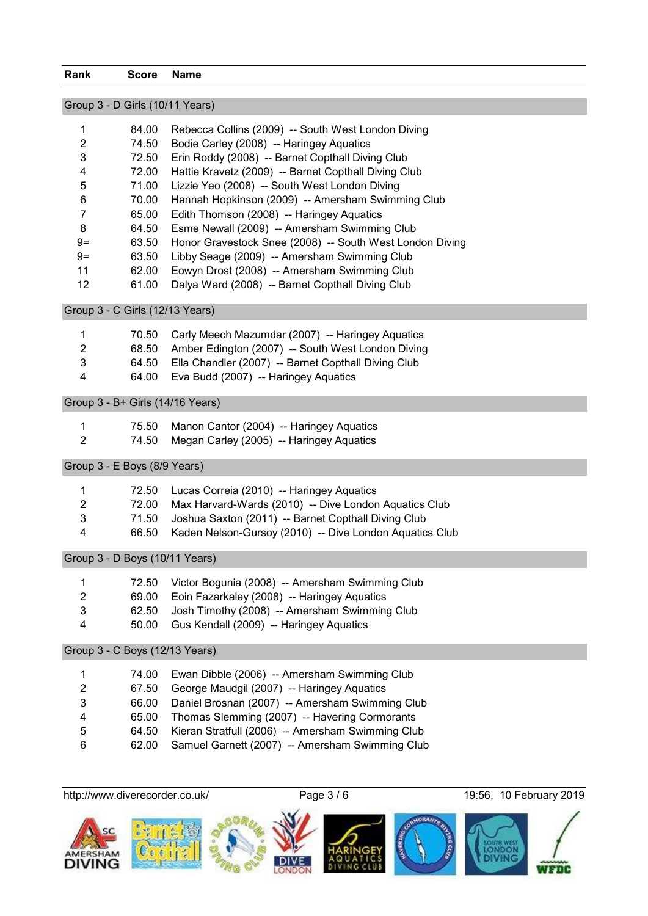#### **Rank Score Name**

# Group 3 - D Girls (10/11 Years)

|      | 84.00 | Rebecca Collins (2009) -- South West London Diving       |
|------|-------|----------------------------------------------------------|
| 2    | 74.50 | Bodie Carley (2008) -- Haringey Aquatics                 |
| 3    | 72.50 | Erin Roddy (2008) -- Barnet Copthall Diving Club         |
| 4    | 72.00 | Hattie Kravetz (2009) -- Barnet Copthall Diving Club     |
| 5    | 71.00 | Lizzie Yeo (2008) -- South West London Diving            |
| 6    | 70.00 | Hannah Hopkinson (2009) -- Amersham Swimming Club        |
|      | 65.00 | Edith Thomson (2008) -- Haringey Aquatics                |
| 8    | 64.50 | Esme Newall (2009) -- Amersham Swimming Club             |
| $9=$ | 63.50 | Honor Gravestock Snee (2008) -- South West London Diving |
| $9=$ | 63.50 | Libby Seage (2009) -- Amersham Swimming Club             |
| 11   | 62.00 | Eowyn Drost (2008) -- Amersham Swimming Club             |
| 12   | 61.00 | Dalya Ward (2008) -- Barnet Copthall Diving Club         |

# Group 3 - C Girls (12/13 Years)

| $\overline{1}$ | 70.50 Carly Meech Mazumdar (2007) -- Haringey Aquatics    |
|----------------|-----------------------------------------------------------|
| -2             | 68.50 Amber Edington (2007) -- South West London Diving   |
| 3              | 64.50 Ella Chandler (2007) -- Barnet Copthall Diving Club |
| 4              | 64.00 Eva Budd (2007) -- Haringey Aquatics                |
|                |                                                           |

# Group 3 - B+ Girls (14/16 Years)

|   | 75.50 Manon Cantor (2004) -- Haringey Aquatics |
|---|------------------------------------------------|
| 2 | 74.50 Megan Carley (2005) -- Haringey Aquatics |

## Group 3 - E Boys (8/9 Years)

| -1 | 72.50 Lucas Correia (2010) -- Haringey Aquatics               |
|----|---------------------------------------------------------------|
| 2  | 72.00 Max Harvard-Wards (2010) -- Dive London Aquatics Club   |
| 3  | 71.50 Joshua Saxton (2011) -- Barnet Copthall Diving Club     |
| 4  | 66.50 Kaden Nelson-Gursoy (2010) -- Dive London Aquatics Club |
|    |                                                               |

## Group 3 - D Boys (10/11 Years)

| $\mathbf{1}$ | 72.50 | Victor Bogunia (2008) -- Amersham Swimming Club     |
|--------------|-------|-----------------------------------------------------|
| 2            |       | 69.00 Eoin Fazarkaley (2008) -- Haringey Aquatics   |
| 3            |       | 62.50 Josh Timothy (2008) -- Amersham Swimming Club |
| 4            |       | 50.00 Gus Kendall (2009) -- Haringey Aquatics       |

## Group 3 - C Boys (12/13 Years)

| 1 | 74.00 | Ewan Dibble (2006) -- Amersham Swimming Club      |
|---|-------|---------------------------------------------------|
| 2 | 67.50 | George Maudgil (2007) -- Haringey Aquatics        |
| 3 | 66.00 | Daniel Brosnan (2007) -- Amersham Swimming Club   |
|   | 65.00 | Thomas Slemming (2007) -- Havering Cormorants     |
| 5 | 64.50 | Kieran Stratfull (2006) -- Amersham Swimming Club |
| 6 | 62.00 | Samuel Garnett (2007) -- Amersham Swimming Club   |

http://www.diverecorder.co.uk/ Page 3 / 6 19:56, 10 February 2019

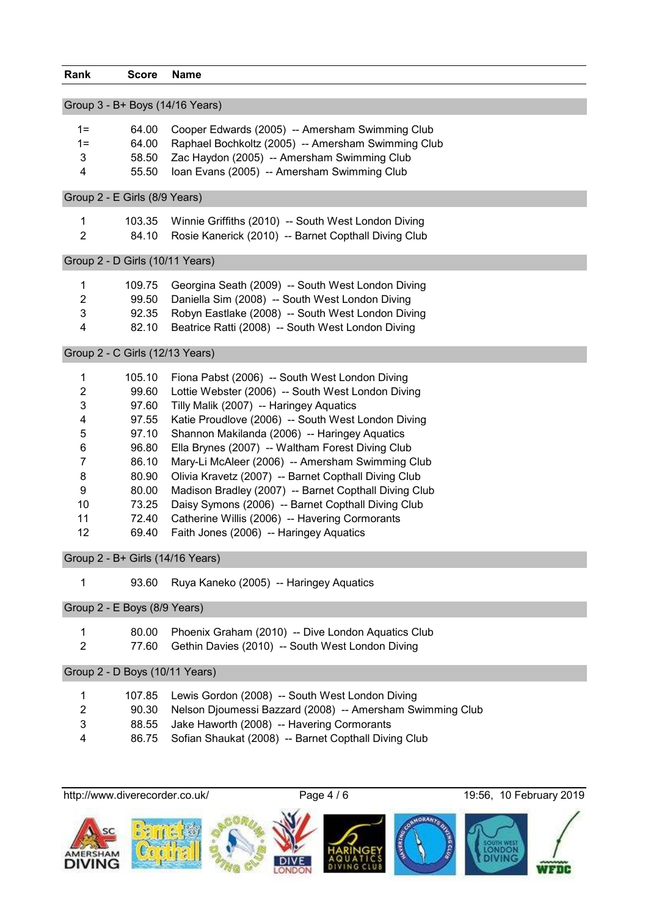| <b>Rank</b>               | <b>Score</b>                    | <b>Name</b>                                               |
|---------------------------|---------------------------------|-----------------------------------------------------------|
|                           |                                 |                                                           |
|                           |                                 | Group 3 - B+ Boys (14/16 Years)                           |
| $1 =$                     | 64.00                           | Cooper Edwards (2005) -- Amersham Swimming Club           |
| $1 =$                     | 64.00                           | Raphael Bochkoltz (2005) -- Amersham Swimming Club        |
| 3                         | 58.50                           | Zac Haydon (2005) -- Amersham Swimming Club               |
| 4                         | 55.50                           | Ioan Evans (2005) -- Amersham Swimming Club               |
|                           |                                 |                                                           |
|                           | Group 2 - E Girls (8/9 Years)   |                                                           |
| 1                         | 103.35                          | Winnie Griffiths (2010) -- South West London Diving       |
| $\overline{2}$            | 84.10                           | Rosie Kanerick (2010) -- Barnet Copthall Diving Club      |
|                           | Group 2 - D Girls (10/11 Years) |                                                           |
| 1                         | 109.75                          | Georgina Seath (2009) -- South West London Diving         |
| $\overline{c}$            | 99.50                           | Daniella Sim (2008) -- South West London Diving           |
| 3                         | 92.35                           | Robyn Eastlake (2008) -- South West London Diving         |
| 4                         | 82.10                           | Beatrice Ratti (2008) -- South West London Diving         |
|                           | Group 2 - C Girls (12/13 Years) |                                                           |
| 1                         | 105.10                          | Fiona Pabst (2006) -- South West London Diving            |
| $\overline{c}$            | 99.60                           | Lottie Webster (2006) -- South West London Diving         |
| 3                         |                                 |                                                           |
|                           | 97.60                           | Tilly Malik (2007) -- Haringey Aquatics                   |
| 4                         | 97.55                           | Katie Proudlove (2006) -- South West London Diving        |
| 5                         | 97.10                           | Shannon Makilanda (2006) -- Haringey Aquatics             |
| 6                         | 96.80                           | Ella Brynes (2007) -- Waltham Forest Diving Club          |
| $\overline{7}$            | 86.10                           | Mary-Li McAleer (2006) -- Amersham Swimming Club          |
| 8                         | 80.90                           | Olivia Kravetz (2007) -- Barnet Copthall Diving Club      |
| 9                         | 80.00                           | Madison Bradley (2007) -- Barnet Copthall Diving Club     |
| 10                        | 73.25                           | Daisy Symons (2006) -- Barnet Copthall Diving Club        |
| 11                        | 72.40                           | Catherine Willis (2006) -- Havering Cormorants            |
| 12                        | 69.40                           | Faith Jones (2006) -- Haringey Aquatics                   |
|                           |                                 | Group 2 - B+ Girls (14/16 Years)                          |
| 1                         | 93.60                           | Ruya Kaneko (2005) -- Haringey Aquatics                   |
|                           | Group 2 - E Boys (8/9 Years)    |                                                           |
| 1                         | 80.00                           | Phoenix Graham (2010) -- Dive London Aquatics Club        |
| $\overline{2}$            | 77.60                           | Gethin Davies (2010) -- South West London Diving          |
|                           |                                 |                                                           |
|                           | Group 2 - D Boys (10/11 Years)  |                                                           |
| 1                         | 107.85                          | Lewis Gordon (2008) -- South West London Diving           |
| $\overline{c}$            | 90.30                           | Nelson Djoumessi Bazzard (2008) -- Amersham Swimming Club |
| $\ensuremath{\mathsf{3}}$ | 88.55                           | Jake Haworth (2008) -- Havering Cormorants                |
| 4                         | 86.75                           | Sofian Shaukat (2008) -- Barnet Copthall Diving Club      |
|                           |                                 |                                                           |
|                           | http://www.diverecorder.co.uk/  | Page 4 / 6<br>19:56, 10 February 2019                     |
|                           |                                 |                                                           |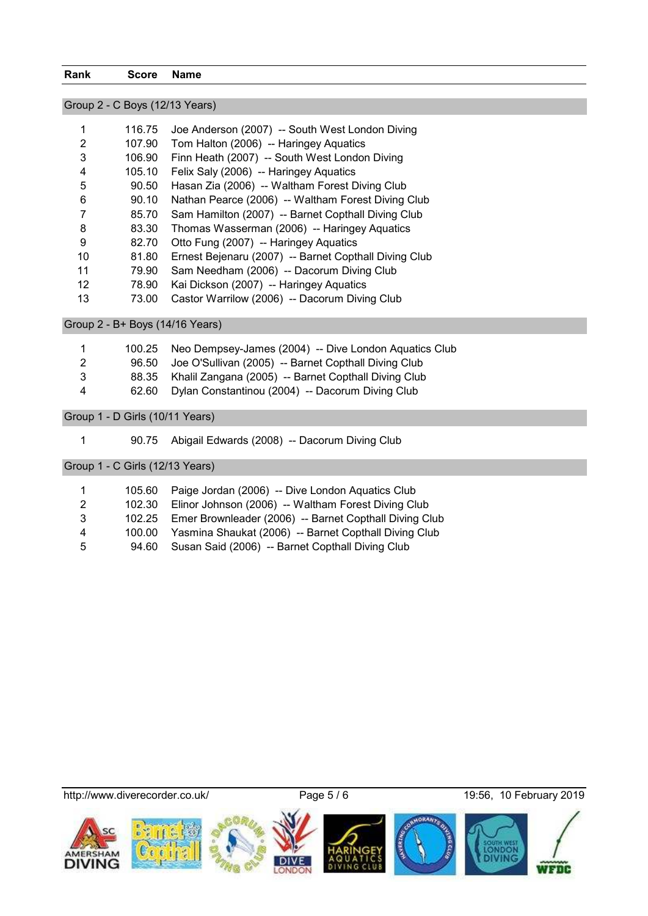#### **Rank Score Name**

# Group 2 - C Boys (12/13 Years)

| 1  | 116.75 | Joe Anderson (2007) -- South West London Diving       |
|----|--------|-------------------------------------------------------|
| 2  | 107.90 | Tom Halton (2006) -- Haringey Aquatics                |
| 3  | 106.90 | Finn Heath (2007) -- South West London Diving         |
| 4  | 105.10 | Felix Saly (2006) -- Haringey Aquatics                |
| 5  | 90.50  | Hasan Zia (2006) -- Waltham Forest Diving Club        |
| 6  | 90.10  | Nathan Pearce (2006) -- Waltham Forest Diving Club    |
|    | 85.70  | Sam Hamilton (2007) -- Barnet Copthall Diving Club    |
| 8  | 83.30  | Thomas Wasserman (2006) -- Haringey Aquatics          |
| 9  | 82.70  | Otto Fung (2007) -- Haringey Aquatics                 |
| 10 | 81.80  | Ernest Bejenaru (2007) -- Barnet Copthall Diving Club |
| 11 | 79.90  | Sam Needham (2006) -- Dacorum Diving Club             |
| 12 | 78.90  | Kai Dickson (2007) -- Haringey Aquatics               |
| 13 | 73.00  | Castor Warrilow (2006) -- Dacorum Diving Club         |

Group 2 - B+ Boys (14/16 Years)

| $\mathbf{1}$ | 100.25 Neo Dempsey-James (2004) -- Dive London Aquatics Club |
|--------------|--------------------------------------------------------------|
| 2            | 96.50 Joe O'Sullivan (2005) -- Barnet Copthall Diving Club   |
| 3            | 88.35 Khalil Zangana (2005) -- Barnet Copthall Diving Club   |
| 4            | 62.60 Dylan Constantinou (2004) -- Dacorum Diving Club       |
|              |                                                              |

Group 1 - D Girls (10/11 Years)

90.75 Abigail Edwards (2008) -- Dacorum Diving Club

Group 1 - C Girls (12/13 Years)

| $\mathbf 1$ |       | 105.60 Paige Jordan (2006) -- Dive London Aquatics Club       |
|-------------|-------|---------------------------------------------------------------|
| 2           |       | 102.30 Elinor Johnson (2006) -- Waltham Forest Diving Club    |
| 3           |       | 102.25 Emer Brownleader (2006) -- Barnet Copthall Diving Club |
| 4           |       | 100.00 Yasmina Shaukat (2006) -- Barnet Copthall Diving Club  |
| 5           | 94.60 | Susan Said (2006) -- Barnet Copthall Diving Club              |

http://www.diverecorder.co.uk/ Page 5 / 6 19:56, 10 February 2019